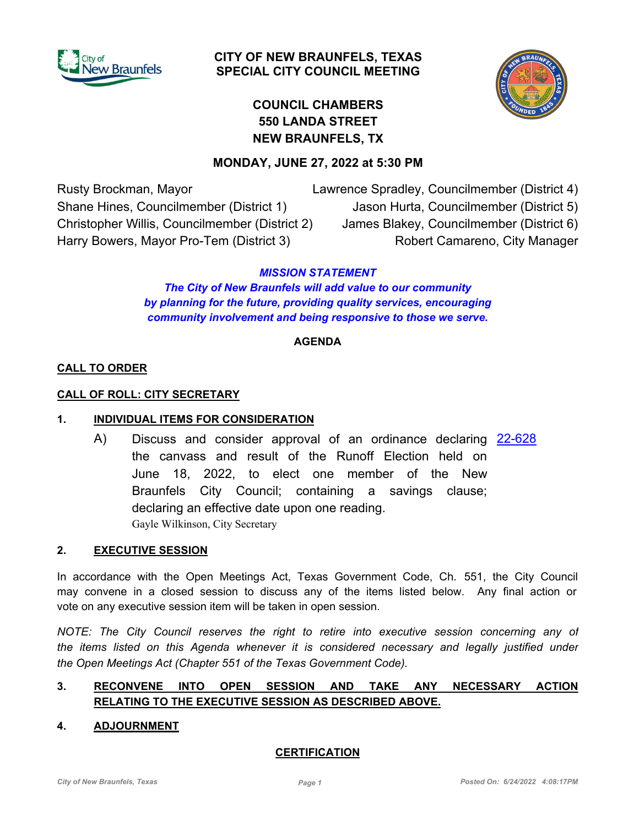

## **CITY OF NEW BRAUNFELS, TEXAS SPECIAL CITY COUNCIL MEETING**



# **COUNCIL CHAMBERS 550 LANDA STREET NEW BRAUNFELS, TX**

## **MONDAY, JUNE 27, 2022 at 5:30 PM**

Rusty Brockman, Mayor Shane Hines, Councilmember (District 1) Christopher Willis, Councilmember (District 2) Harry Bowers, Mayor Pro-Tem (District 3)

Lawrence Spradley, Councilmember (District 4) Jason Hurta, Councilmember (District 5) James Blakey, Councilmember (District 6) Robert Camareno, City Manager

## *MISSION STATEMENT*

*The City of New Braunfels will add value to our community by planning for the future, providing quality services, encouraging community involvement and being responsive to those we serve.*

#### **AGENDA**

#### **CALL TO ORDER**

#### **CALL OF ROLL: CITY SECRETARY**

#### **1. INDIVIDUAL ITEMS FOR CONSIDERATION**

A) Discuss and consider approval of an ordinance declaring [22-628](http://newbraunfels.legistar.com/gateway.aspx?m=l&id=/matter.aspx?key=10642) the canvass and result of the Runoff Election held on June 18, 2022, to elect one member of the New Braunfels City Council; containing a savings clause; declaring an effective date upon one reading. Gayle Wilkinson, City Secretary

#### **2. EXECUTIVE SESSION**

In accordance with the Open Meetings Act, Texas Government Code, Ch. 551, the City Council may convene in a closed session to discuss any of the items listed below. Any final action or vote on any executive session item will be taken in open session.

*NOTE: The City Council reserves the right to retire into executive session concerning any of the items listed on this Agenda whenever it is considered necessary and legally justified under the Open Meetings Act (Chapter 551 of the Texas Government Code).*

### **3. RECONVENE INTO OPEN SESSION AND TAKE ANY NECESSARY ACTION RELATING TO THE EXECUTIVE SESSION AS DESCRIBED ABOVE.**

#### **4. ADJOURNMENT**

#### **CERTIFICATION**